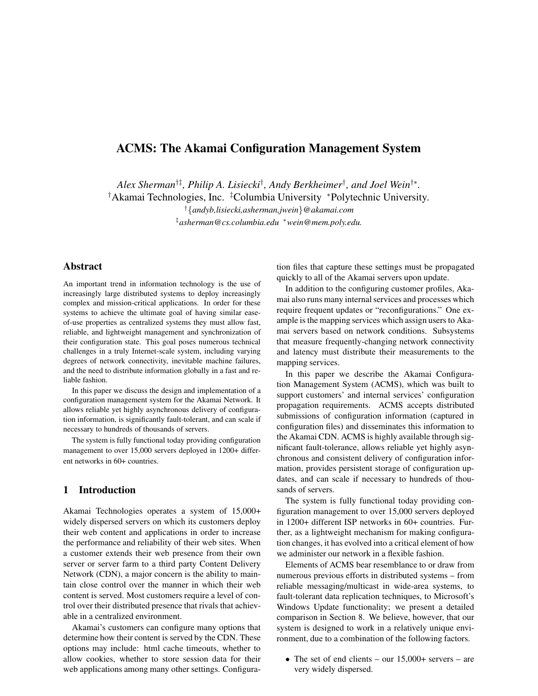# **ACMS: The Akamai Configuration Management System**

*Alex Sherman*†‡ *, Philip A. Lisiecki*† *, Andy Berkheimer*† *, and Joel Wein*†∗ *.*

†Akamai Technologies, Inc. ‡Columbia University <sup>∗</sup>Polytechnic University*.*

†{*andyb,lisiecki,asherman,jwein*}*@akamai.com* ‡*asherman@cs.columbia.edu* <sup>∗</sup>*wein@mem.poly.edu.*

## **Abstract**

An important trend in information technology is the use of increasingly large distributed systems to deploy increasingly complex and mission-critical applications. In order for these systems to achieve the ultimate goal of having similar easeof-use properties as centralized systems they must allow fast, reliable, and lightweight management and synchronization of their configuration state. This goal poses numerous technical challenges in a truly Internet-scale system, including varying degrees of network connectivity, inevitable machine failures, and the need to distribute information globally in a fast and reliable fashion.

In this paper we discuss the design and implementation of a configuration management system for the Akamai Network. It allows reliable yet highly asynchronous delivery of configuration information, is significantly fault-tolerant, and can scale if necessary to hundreds of thousands of servers.

The system is fully functional today providing configuration management to over 15,000 servers deployed in 1200+ different networks in 60+ countries.

#### **1 Introduction**

Akamai Technologies operates a system of 15,000+ widely dispersed servers on which its customers deploy their web content and applications in order to increase the performance and reliability of their web sites. When a customer extends their web presence from their own server or server farm to a third party Content Delivery Network (CDN), a major concern is the ability to maintain close control over the manner in which their web content is served. Most customers require a level of control over their distributed presence that rivals that achievable in a centralized environment.

Akamai's customers can configure many options that determine how their content is served by the CDN. These options may include: html cache timeouts, whether to allow cookies, whether to store session data for their web applications among many other settings. Configuration files that capture these settings must be propagated quickly to all of the Akamai servers upon update.

In addition to the configuring customer profiles, Akamai also runs many internal services and processes which require frequent updates or "reconfigurations." One example is the mapping services which assign users to Akamai servers based on network conditions. Subsystems that measure frequently-changing network connectivity and latency must distribute their measurements to the mapping services.

In this paper we describe the Akamai Configuration Management System (ACMS), which was built to support customers' and internal services' configuration propagation requirements. ACMS accepts distributed submissions of configuration information (captured in configuration files) and disseminates this information to the Akamai CDN. ACMS is highly available through significant fault-tolerance, allows reliable yet highly asynchronous and consistent delivery of configuration information, provides persistent storage of configuration updates, and can scale if necessary to hundreds of thousands of servers.

The system is fully functional today providing configuration management to over 15,000 servers deployed in 1200+ different ISP networks in 60+ countries. Further, as a lightweight mechanism for making configuration changes, it has evolved into a critical element of how we administer our network in a flexible fashion.

Elements of ACMS bear resemblance to or draw from numerous previous efforts in distributed systems – from reliable messaging/multicast in wide-area systems, to fault-tolerant data replication techniques, to Microsoft's Windows Update functionality; we present a detailed comparison in Section 8. We believe, however, that our system is designed to work in a relatively unique environment, due to a combination of the following factors.

• The set of end clients – our  $15,000+$  servers – are very widely dispersed.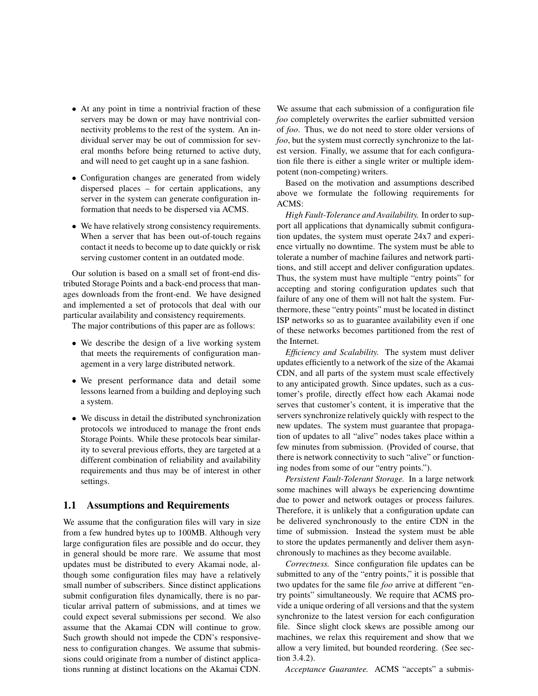- At any point in time a nontrivial fraction of these servers may be down or may have nontrivial connectivity problems to the rest of the system. An individual server may be out of commission for several months before being returned to active duty, and will need to get caught up in a sane fashion.
- Configuration changes are generated from widely dispersed places – for certain applications, any server in the system can generate configuration information that needs to be dispersed via ACMS.
- We have relatively strong consistency requirements. When a server that has been out-of-touch regains contact it needs to become up to date quickly or risk serving customer content in an outdated mode.

Our solution is based on a small set of front-end distributed Storage Points and a back-end process that manages downloads from the front-end. We have designed and implemented a set of protocols that deal with our particular availability and consistency requirements.

The major contributions of this paper are as follows:

- We describe the design of a live working system that meets the requirements of configuration management in a very large distributed network.
- We present performance data and detail some lessons learned from a building and deploying such a system.
- We discuss in detail the distributed synchronization protocols we introduced to manage the front ends Storage Points. While these protocols bear similarity to several previous efforts, they are targeted at a different combination of reliability and availability requirements and thus may be of interest in other settings.

#### **1.1 Assumptions and Requirements**

We assume that the configuration files will vary in size from a few hundred bytes up to 100MB. Although very large configuration files are possible and do occur, they in general should be more rare. We assume that most updates must be distributed to every Akamai node, although some configuration files may have a relatively small number of subscribers. Since distinct applications submit configuration files dynamically, there is no particular arrival pattern of submissions, and at times we could expect several submissions per second. We also assume that the Akamai CDN will continue to grow. Such growth should not impede the CDN's responsiveness to configuration changes. We assume that submissions could originate from a number of distinct applications running at distinct locations on the Akamai CDN. We assume that each submission of a configuration file *foo* completely overwrites the earlier submitted version of *foo*. Thus, we do not need to store older versions of *foo*, but the system must correctly synchronize to the latest version. Finally, we assume that for each configuration file there is either a single writer or multiple idempotent (non-competing) writers.

Based on the motivation and assumptions described above we formulate the following requirements for ACMS:

*High Fault-Tolerance and Availability.* In order to support all applications that dynamically submit configuration updates, the system must operate 24x7 and experience virtually no downtime. The system must be able to tolerate a number of machine failures and network partitions, and still accept and deliver configuration updates. Thus, the system must have multiple "entry points" for accepting and storing configuration updates such that failure of any one of them will not halt the system. Furthermore, these "entry points" must be located in distinct ISP networks so as to guarantee availability even if one of these networks becomes partitioned from the rest of the Internet.

*Efficiency and Scalability.* The system must deliver updates efficiently to a network of the size of the Akamai CDN, and all parts of the system must scale effectively to any anticipated growth. Since updates, such as a customer's profile, directly effect how each Akamai node serves that customer's content, it is imperative that the servers synchronize relatively quickly with respect to the new updates. The system must guarantee that propagation of updates to all "alive" nodes takes place within a few minutes from submission. (Provided of course, that there is network connectivity to such "alive" or functioning nodes from some of our "entry points.").

*Persistent Fault-Tolerant Storage.* In a large network some machines will always be experiencing downtime due to power and network outages or process failures. Therefore, it is unlikely that a configuration update can be delivered synchronously to the entire CDN in the time of submission. Instead the system must be able to store the updates permanently and deliver them asynchronously to machines as they become available.

*Correctness.* Since configuration file updates can be submitted to any of the "entry points," it is possible that two updates for the same file *foo* arrive at different "entry points" simultaneously. We require that ACMS provide a unique ordering of all versions and that the system synchronize to the latest version for each configuration file. Since slight clock skews are possible among our machines, we relax this requirement and show that we allow a very limited, but bounded reordering. (See section 3.4.2).

*Acceptance Guarantee.* ACMS "accepts" a submis-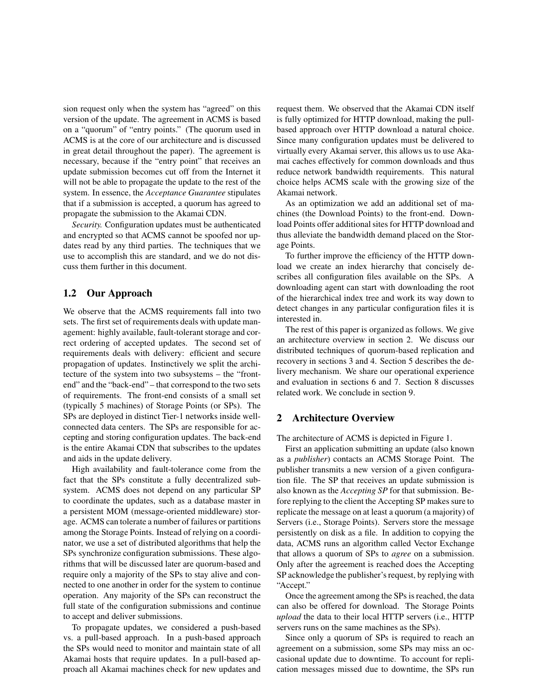sion request only when the system has "agreed" on this version of the update. The agreement in ACMS is based on a "quorum" of "entry points." (The quorum used in ACMS is at the core of our architecture and is discussed in great detail throughout the paper). The agreement is necessary, because if the "entry point" that receives an update submission becomes cut off from the Internet it will not be able to propagate the update to the rest of the system. In essence, the *Acceptance Guarantee* stipulates that if a submission is accepted, a quorum has agreed to propagate the submission to the Akamai CDN.

*Security.* Configuration updates must be authenticated and encrypted so that ACMS cannot be spoofed nor updates read by any third parties. The techniques that we use to accomplish this are standard, and we do not discuss them further in this document.

## **1.2 Our Approach**

We observe that the ACMS requirements fall into two sets. The first set of requirements deals with update management: highly available, fault-tolerant storage and correct ordering of accepted updates. The second set of requirements deals with delivery: efficient and secure propagation of updates. Instinctively we split the architecture of the system into two subsystems – the "frontend" and the "back-end" – that correspond to the two sets of requirements. The front-end consists of a small set (typically 5 machines) of Storage Points (or SPs). The SPs are deployed in distinct Tier-1 networks inside wellconnected data centers. The SPs are responsible for accepting and storing configuration updates. The back-end is the entire Akamai CDN that subscribes to the updates and aids in the update delivery.

High availability and fault-tolerance come from the fact that the SPs constitute a fully decentralized subsystem. ACMS does not depend on any particular SP to coordinate the updates, such as a database master in a persistent MOM (message-oriented middleware) storage. ACMS can tolerate a number of failures or partitions among the Storage Points. Instead of relying on a coordinator, we use a set of distributed algorithms that help the SPs synchronize configuration submissions. These algorithms that will be discussed later are quorum-based and require only a majority of the SPs to stay alive and connected to one another in order for the system to continue operation. Any majority of the SPs can reconstruct the full state of the configuration submissions and continue to accept and deliver submissions.

To propagate updates, we considered a push-based vs. a pull-based approach. In a push-based approach the SPs would need to monitor and maintain state of all Akamai hosts that require updates. In a pull-based approach all Akamai machines check for new updates and request them. We observed that the Akamai CDN itself is fully optimized for HTTP download, making the pullbased approach over HTTP download a natural choice. Since many configuration updates must be delivered to virtually every Akamai server, this allows us to use Akamai caches effectively for common downloads and thus reduce network bandwidth requirements. This natural choice helps ACMS scale with the growing size of the Akamai network.

As an optimization we add an additional set of machines (the Download Points) to the front-end. Download Points offer additional sites for HTTP download and thus alleviate the bandwidth demand placed on the Storage Points.

To further improve the efficiency of the HTTP download we create an index hierarchy that concisely describes all configuration files available on the SPs. A downloading agent can start with downloading the root of the hierarchical index tree and work its way down to detect changes in any particular configuration files it is interested in.

The rest of this paper is organized as follows. We give an architecture overview in section 2. We discuss our distributed techniques of quorum-based replication and recovery in sections 3 and 4. Section 5 describes the delivery mechanism. We share our operational experience and evaluation in sections 6 and 7. Section 8 discusses related work. We conclude in section 9.

### **2 Architecture Overview**

The architecture of ACMS is depicted in Figure 1.

First an application submitting an update (also known as a *publisher*) contacts an ACMS Storage Point. The publisher transmits a new version of a given configuration file. The SP that receives an update submission is also known as the *Accepting SP* for that submission. Before replying to the client the Accepting SP makes sure to replicate the message on at least a quorum (a majority) of Servers (i.e., Storage Points). Servers store the message persistently on disk as a file. In addition to copying the data, ACMS runs an algorithm called Vector Exchange that allows a quorum of SPs to *agree* on a submission. Only after the agreement is reached does the Accepting SP acknowledge the publisher's request, by replying with "Accept."

Once the agreement among the SPs is reached, the data can also be offered for download. The Storage Points *upload* the data to their local HTTP servers (i.e., HTTP servers runs on the same machines as the SPs).

Since only a quorum of SPs is required to reach an agreement on a submission, some SPs may miss an occasional update due to downtime. To account for replication messages missed due to downtime, the SPs run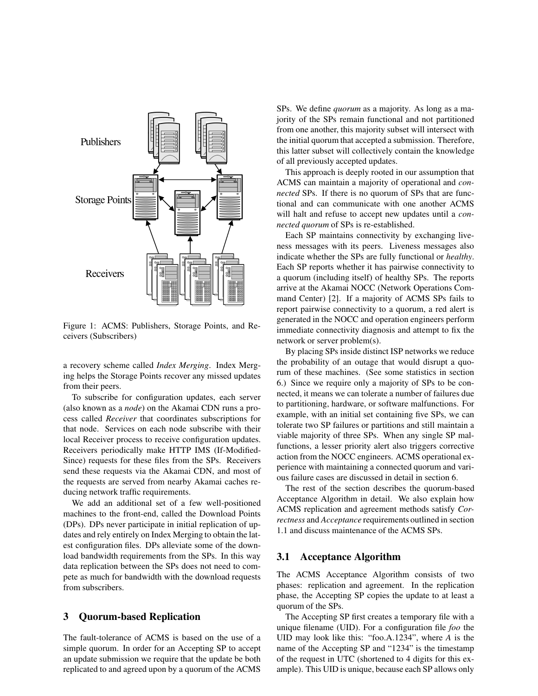

Figure 1: ACMS: Publishers, Storage Points, and Receivers (Subscribers)

a recovery scheme called *Index Merging*. Index Merging helps the Storage Points recover any missed updates from their peers.

To subscribe for configuration updates, each server (also known as a *node*) on the Akamai CDN runs a process called *Receiver* that coordinates subscriptions for that node. Services on each node subscribe with their local Receiver process to receive configuration updates. Receivers periodically make HTTP IMS (If-Modified-Since) requests for these files from the SPs. Receivers send these requests via the Akamai CDN, and most of the requests are served from nearby Akamai caches reducing network traffic requirements.

We add an additional set of a few well-positioned machines to the front-end, called the Download Points (DPs). DPs never participate in initial replication of updates and rely entirely on Index Merging to obtain the latest configuration files. DPs alleviate some of the download bandwidth requirements from the SPs. In this way data replication between the SPs does not need to compete as much for bandwidth with the download requests from subscribers.

### **3 Quorum-based Replication**

The fault-tolerance of ACMS is based on the use of a simple quorum. In order for an Accepting SP to accept an update submission we require that the update be both replicated to and agreed upon by a quorum of the ACMS SPs. We define *quorum* as a majority. As long as a majority of the SPs remain functional and not partitioned from one another, this majority subset will intersect with the initial quorum that accepted a submission. Therefore, this latter subset will collectively contain the knowledge of all previously accepted updates.

This approach is deeply rooted in our assumption that ACMS can maintain a majority of operational and *connected* SPs. If there is no quorum of SPs that are functional and can communicate with one another ACMS will halt and refuse to accept new updates until a *connected quorum* of SPs is re-established.

Each SP maintains connectivity by exchanging liveness messages with its peers. Liveness messages also indicate whether the SPs are fully functional or *healthy*. Each SP reports whether it has pairwise connectivity to a quorum (including itself) of healthy SPs. The reports arrive at the Akamai NOCC (Network Operations Command Center) [2]. If a majority of ACMS SPs fails to report pairwise connectivity to a quorum, a red alert is generated in the NOCC and operation engineers perform immediate connectivity diagnosis and attempt to fix the network or server problem(s).

By placing SPs inside distinct ISP networks we reduce the probability of an outage that would disrupt a quorum of these machines. (See some statistics in section 6.) Since we require only a majority of SPs to be connected, it means we can tolerate a number of failures due to partitioning, hardware, or software malfunctions. For example, with an initial set containing five SPs, we can tolerate two SP failures or partitions and still maintain a viable majority of three SPs. When any single SP malfunctions, a lesser priority alert also triggers corrective action from the NOCC engineers. ACMS operational experience with maintaining a connected quorum and various failure cases are discussed in detail in section 6.

The rest of the section describes the quorum-based Acceptance Algorithm in detail. We also explain how ACMS replication and agreement methods satisfy *Correctness* and *Acceptance* requirements outlined in section 1.1 and discuss maintenance of the ACMS SPs.

#### **3.1 Acceptance Algorithm**

The ACMS Acceptance Algorithm consists of two phases: replication and agreement. In the replication phase, the Accepting SP copies the update to at least a quorum of the SPs.

The Accepting SP first creates a temporary file with a unique filename (UID). For a configuration file *foo* the UID may look like this: "foo.A.1234", where *A* is the name of the Accepting SP and "1234" is the timestamp of the request in UTC (shortened to 4 digits for this example). This UID is unique, because each SP allows only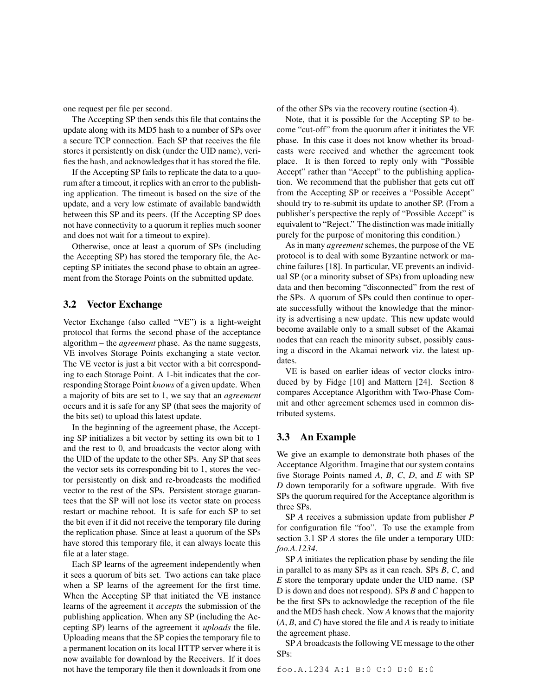one request per file per second.

The Accepting SP then sends this file that contains the update along with its MD5 hash to a number of SPs over a secure TCP connection. Each SP that receives the file stores it persistently on disk (under the UID name), verifies the hash, and acknowledgesthat it has stored the file.

If the Accepting SP fails to replicate the data to a quorum after a timeout, it replies with an error to the publishing application. The timeout is based on the size of the update, and a very low estimate of available bandwidth between this SP and its peers. (If the Accepting SP does not have connectivity to a quorum it replies much sooner and does not wait for a timeout to expire).

Otherwise, once at least a quorum of SPs (including the Accepting SP) has stored the temporary file, the Accepting SP initiates the second phase to obtain an agreement from the Storage Points on the submitted update.

### **3.2 Vector Exchange**

Vector Exchange (also called "VE") is a light-weight protocol that forms the second phase of the acceptance algorithm – the *agreement* phase. As the name suggests, VE involves Storage Points exchanging a state vector. The VE vector is just a bit vector with a bit corresponding to each Storage Point. A 1-bit indicates that the corresponding Storage Point *knows* of a given update. When a majority of bits are set to 1, we say that an *agreement* occurs and it is safe for any SP (that sees the majority of the bits set) to upload this latest update.

In the beginning of the agreement phase, the Accepting SP initializes a bit vector by setting its own bit to 1 and the rest to 0, and broadcasts the vector along with the UID of the update to the other SPs. Any SP that sees the vector sets its corresponding bit to 1, stores the vector persistently on disk and re-broadcasts the modified vector to the rest of the SPs. Persistent storage guarantees that the SP will not lose its vector state on process restart or machine reboot. It is safe for each SP to set the bit even if it did not receive the temporary file during the replication phase. Since at least a quorum of the SPs have stored this temporary file, it can always locate this file at a later stage.

Each SP learns of the agreement independently when it sees a quorum of bits set. Two actions can take place when a SP learns of the agreement for the first time. When the Accepting SP that initiated the VE instance learns of the agreement it *accepts* the submission of the publishing application. When any SP (including the Accepting SP) learns of the agreement it *uploads* the file. Uploading means that the SP copies the temporary file to a permanent location on its local HTTP server where it is now available for download by the Receivers. If it does not have the temporary file then it downloads it from one of the other SPs via the recovery routine (section 4).

Note, that it is possible for the Accepting SP to become "cut-off" from the quorum after it initiates the VE phase. In this case it does not know whether its broadcasts were received and whether the agreement took place. It is then forced to reply only with "Possible Accept" rather than "Accept" to the publishing application. We recommend that the publisher that gets cut off from the Accepting SP or receives a "Possible Accept" should try to re-submit its update to another SP. (From a publisher's perspective the reply of "Possible Accept" is equivalent to "Reject." The distinction was made initially purely for the purpose of monitoring this condition.)

As in many *agreement* schemes, the purpose of the VE protocol is to deal with some Byzantine network or machine failures [18]. In particular, VE prevents an individual SP (or a minority subset of SPs) from uploading new data and then becoming "disconnected" from the rest of the SPs. A quorum of SPs could then continue to operate successfully without the knowledge that the minority is advertising a new update. This new update would become available only to a small subset of the Akamai nodes that can reach the minority subset, possibly causing a discord in the Akamai network viz. the latest updates.

VE is based on earlier ideas of vector clocks introduced by by Fidge [10] and Mattern [24]. Section 8 compares Acceptance Algorithm with Two-Phase Commit and other agreement schemes used in common distributed systems.

## **3.3 An Example**

We give an example to demonstrate both phases of the Acceptance Algorithm. Imagine that our system contains five Storage Points named *A*, *B*, *C*, *D*, and *E* with SP *D* down temporarily for a software upgrade. With five SPs the quorum required for the Acceptance algorithm is three SPs.

SP *A* receives a submission update from publisher *P* for configuration file "foo". To use the example from section 3.1 SP *A* stores the file under a temporary UID: *foo.A.1234*.

SP *A* initiates the replication phase by sending the file in parallel to as many SPs as it can reach. SPs *B*, *C*, and *E* store the temporary update under the UID name. (SP D is down and does not respond). SPs *B* and *C* happen to be the first SPs to acknowledge the reception of the file and the MD5 hash check. Now *A* knows that the majority (*A*, *B*, and *C*) have stored the file and *A* is ready to initiate the agreement phase.

SP *A* broadcasts the following VE message to the other SPs:

foo.A.1234 A:1 B:0 C:0 D:0 E:0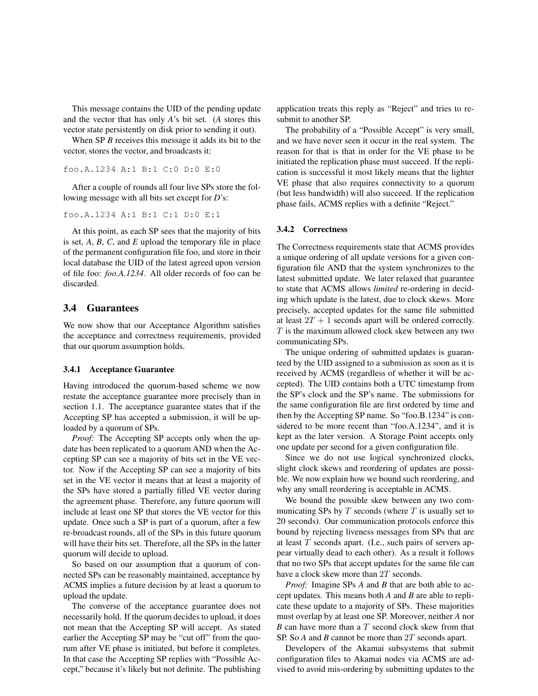This message contains the UID of the pending update and the vector that has only *A*'s bit set. (*A* stores this vector state persistently on disk prior to sending it out).

When SP *B* receives this message it adds its bit to the vector, stores the vector, and broadcasts it:

```
foo.A.1234 A:1 B:1 C:0 D:0 E:0
```
After a couple of rounds all four live SPs store the following message with all bits set except for *D*'s:

```
foo.A.1234 A:1 B:1 C:1 D:0 E:1
```
At this point, as each SP sees that the majority of bits is set, *A*, *B*, *C*, and *E* upload the temporary file in place of the permanent configuration file foo, and store in their local database the UID of the latest agreed upon version of file foo: *foo.A.1234*. All older records of foo can be discarded.

#### **3.4 Guarantees**

We now show that our Acceptance Algorithm satisfies the acceptance and correctness requirements, provided that our quorum assumption holds.

#### **3.4.1 Acceptance Guarantee**

Having introduced the quorum-based scheme we now restate the acceptance guarantee more precisely than in section 1.1. The acceptance guarantee states that if the Accepting SP has accepted a submission, it will be uploaded by a quorum of SPs.

*Proof:* The Accepting SP accepts only when the update has been replicated to a quorum AND when the Accepting SP can see a majority of bits set in the VE vector. Now if the Accepting SP can see a majority of bits set in the VE vector it means that at least a majority of the SPs have stored a partially filled VE vector during the agreement phase. Therefore, any future quorum will include at least one SP that stores the VE vector for this update. Once such a SP is part of a quorum, after a few re-broadcast rounds, all of the SPs in this future quorum will have their bits set. Therefore, all the SPs in the latter quorum will decide to upload.

So based on our assumption that a quorum of connected SPs can be reasonably maintained, acceptance by ACMS implies a future decision by at least a quorum to upload the update.

The converse of the acceptance guarantee does not necessarily hold. If the quorum decides to upload, it does not mean that the Accepting SP will accept. As stated earlier the Accepting SP may be "cut off" from the quorum after VE phase is initiated, but before it completes. In that case the Accepting SP replies with "Possible Accept," because it's likely but not definite. The publishing application treats this reply as "Reject" and tries to resubmit to another SP.

The probability of a "Possible Accept" is very small, and we have never seen it occur in the real system. The reason for that is that in order for the VE phase to be initiated the replication phase must succeed. If the replication is successful it most likely means that the lighter VE phase that also requires connectivity to a quorum (but less bandwidth) will also succeed. If the replication phase fails, ACMS replies with a definite "Reject."

#### **3.4.2 Correctness**

The Correctness requirements state that ACMS provides a unique ordering of all update versions for a given configuration file AND that the system synchronizes to the latest submitted update. We later relaxed that guarantee to state that ACMS allows *limited* re-ordering in deciding which update is the latest, due to clock skews. More precisely, accepted updates for the same file submitted at least  $2T + 1$  seconds apart will be ordered correctly.  $T$  is the maximum allowed clock skew between any two communicating SPs.

The unique ordering of submitted updates is guaranteed by the UID assigned to a submission as soon as it is received by ACMS (regardless of whether it will be accepted). The UID contains both a UTC timestamp from the SP's clock and the SP's name. The submissions for the same configuration file are first ordered by time and then by the Accepting SP name. So "foo.B.1234" is considered to be more recent than "foo.A.1234", and it is kept as the later version. A Storage Point accepts only one update per second for a given configuration file.

Since we do not use logical synchronized clocks, slight clock skews and reordering of updates are possible. We now explain how we bound such reordering, and why any small reordering is acceptable in ACMS.

We bound the possible skew between any two communicating SPs by  $T$  seconds (where  $T$  is usually set to 20 seconds). Our communication protocols enforce this bound by rejecting liveness messages from SPs that are at least  $T$  seconds apart. (I.e., such pairs of servers appear virtually dead to each other). As a result it follows that no two SPs that accept updates for the same file can have a clock skew more than 2T seconds.

*Proof:* Imagine SPs *A* and *B* that are both able to accept updates. This means both *A* and *B* are able to replicate these update to a majority of SPs. These majorities must overlap by at least one SP. Moreover, neither *A* nor *B* can have more than a *T* second clock skew from that SP. So *A* and *B* cannot be more than 2T seconds apart.

Developers of the Akamai subsystems that submit configuration files to Akamai nodes via ACMS are advised to avoid mis-ordering by submitting updates to the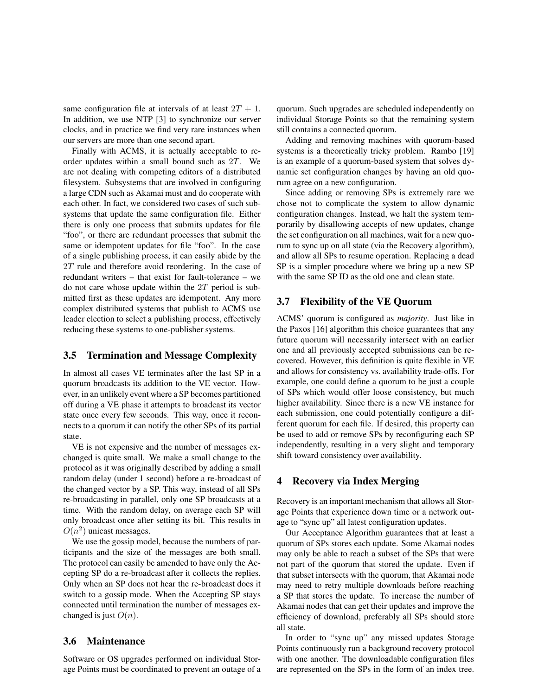same configuration file at intervals of at least  $2T + 1$ . In addition, we use NTP [3] to synchronize our server clocks, and in practice we find very rare instances when our servers are more than one second apart.

Finally with ACMS, it is actually acceptable to reorder updates within a small bound such as 2T. We are not dealing with competing editors of a distributed filesystem. Subsystems that are involved in configuring a large CDN such as Akamai must and do cooperate with each other. In fact, we considered two cases of such subsystems that update the same configuration file. Either there is only one process that submits updates for file "foo", or there are redundant processes that submit the same or idempotent updates for file "foo". In the case of a single publishing process, it can easily abide by the 2T rule and therefore avoid reordering. In the case of redundant writers – that exist for fault-tolerance – we do not care whose update within the  $2T$  period is submitted first as these updates are idempotent. Any more complex distributed systems that publish to ACMS use leader election to select a publishing process, effectively reducing these systems to one-publisher systems.

## **3.5 Termination and Message Complexity**

In almost all cases VE terminates after the last SP in a quorum broadcasts its addition to the VE vector. However, in an unlikely event where a SP becomes partitioned off during a VE phase it attempts to broadcast its vector state once every few seconds. This way, once it reconnects to a quorum it can notify the other SPs of its partial state.

VE is not expensive and the number of messages exchanged is quite small. We make a small change to the protocol as it was originally described by adding a small random delay (under 1 second) before a re-broadcast of the changed vector by a SP. This way, instead of all SPs re-broadcasting in parallel, only one SP broadcasts at a time. With the random delay, on average each SP will only broadcast once after setting its bit. This results in  $O(n^2)$  unicast messages.

We use the gossip model, because the numbers of participants and the size of the messages are both small. The protocol can easily be amended to have only the Accepting SP do a re-broadcast after it collects the replies. Only when an SP does not hear the re-broadcast does it switch to a gossip mode. When the Accepting SP stays connected until termination the number of messages exchanged is just  $O(n)$ .

#### **3.6 Maintenance**

Software or OS upgrades performed on individual Storage Points must be coordinated to prevent an outage of a quorum. Such upgrades are scheduled independently on individual Storage Points so that the remaining system still contains a connected quorum.

Adding and removing machines with quorum-based systems is a theoretically tricky problem. Rambo [19] is an example of a quorum-based system that solves dynamic set configuration changes by having an old quorum agree on a new configuration.

Since adding or removing SPs is extremely rare we chose not to complicate the system to allow dynamic configuration changes. Instead, we halt the system temporarily by disallowing accepts of new updates, change the set configuration on all machines, wait for a new quorum to sync up on all state (via the Recovery algorithm), and allow all SPs to resume operation. Replacing a dead SP is a simpler procedure where we bring up a new SP with the same SP ID as the old one and clean state.

### **3.7 Flexibility of the VE Quorum**

ACMS' quorum is configured as *majority*. Just like in the Paxos [16] algorithm this choice guarantees that any future quorum will necessarily intersect with an earlier one and all previously accepted submissions can be recovered. However, this definition is quite flexible in VE and allows for consistency vs. availability trade-offs. For example, one could define a quorum to be just a couple of SPs which would offer loose consistency, but much higher availability. Since there is a new VE instance for each submission, one could potentially configure a different quorum for each file. If desired, this property can be used to add or remove SPs by reconfiguring each SP independently, resulting in a very slight and temporary shift toward consistency over availability.

#### **4 Recovery via Index Merging**

Recovery is an important mechanism that allows all Storage Points that experience down time or a network outage to "sync up" all latest configuration updates.

Our Acceptance Algorithm guarantees that at least a quorum of SPs stores each update. Some Akamai nodes may only be able to reach a subset of the SPs that were not part of the quorum that stored the update. Even if that subset intersects with the quorum, that Akamai node may need to retry multiple downloads before reaching a SP that stores the update. To increase the number of Akamai nodes that can get their updates and improve the efficiency of download, preferably all SPs should store all state.

In order to "sync up" any missed updates Storage Points continuously run a background recovery protocol with one another. The downloadable configuration files are represented on the SPs in the form of an index tree.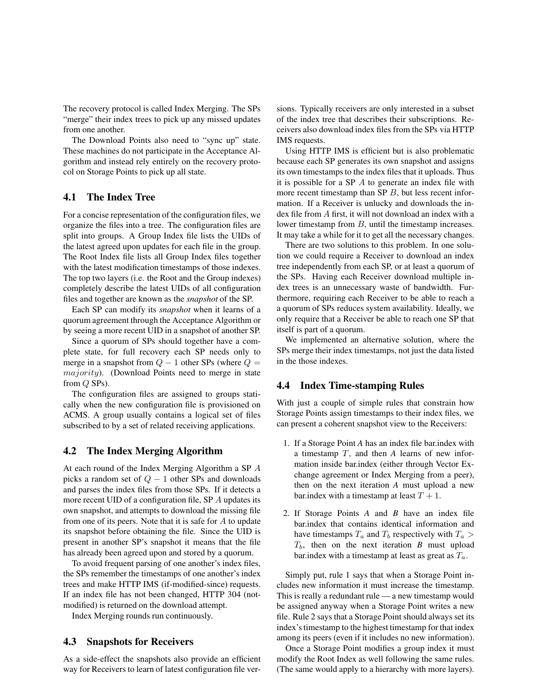The recovery protocol is called Index Merging. The SPs "merge" their index trees to pick up any missed updates from one another.

The Download Points also need to "sync up" state. These machines do not participate in the Acceptance Algorithm and instead rely entirely on the recovery protocol on Storage Points to pick up all state.

## **4.1 The Index Tree**

For a concise representation of the configuration files, we organize the files into a tree. The configuration files are split into groups. A Group Index file lists the UIDs of the latest agreed upon updates for each file in the group. The Root Index file lists all Group Index files together with the latest modification timestamps of those indexes. The top two layers (i.e. the Root and the Group indexes) completely describe the latest UIDs of all configuration files and together are known as the *snapshot* of the SP.

Each SP can modify its *snapshot* when it learns of a quorum agreement through the Acceptance Algorithm or by seeing a more recent UID in a snapshot of another SP.

Since a quorum of SPs should together have a complete state, for full recovery each SP needs only to merge in a snapshot from  $Q - 1$  other SPs (where  $Q =$ majority). (Download Points need to merge in state from Q SPs).

The configuration files are assigned to groups statically when the new configuration file is provisioned on ACMS. A group usually contains a logical set of files subscribed to by a set of related receiving applications.

### **4.2 The Index Merging Algorithm**

At each round of the Index Merging Algorithm a SP A picks a random set of  $Q - 1$  other SPs and downloads and parses the index files from those SPs. If it detects a more recent UID of a configuration file, SP A updates its own snapshot, and attempts to download the missing file from one of its peers. Note that it is safe for  $A$  to update its snapshot before obtaining the file. Since the UID is present in another SP's snapshot it means that the file has already been agreed upon and stored by a quorum.

To avoid frequent parsing of one another's index files, the SPs remember the timestamps of one another's index trees and make HTTP IMS (if-modified-since) requests. If an index file has not been changed, HTTP 304 (notmodified) is returned on the download attempt.

Index Merging rounds run continuously.

#### **4.3 Snapshots for Receivers**

As a side-effect the snapshots also provide an efficient way for Receivers to learn of latest configuration file versions. Typically receivers are only interested in a subset of the index tree that describes their subscriptions. Receivers also download index files from the SPs via HTTP IMS requests.

Using HTTP IMS is efficient but is also problematic because each SP generates its own snapshot and assigns its own timestamps to the index files that it uploads. Thus it is possible for a SP  $\Lambda$  to generate an index file with more recent timestamp than SP  $B$ , but less recent information. If a Receiver is unlucky and downloads the index file from A first, it will not download an index with a lower timestamp from B, until the timestamp increases. It may take a while for it to get all the necessary changes.

There are two solutions to this problem. In one solution we could require a Receiver to download an index tree independently from each SP, or at least a quorum of the SPs. Having each Receiver download multiple index trees is an unnecessary waste of bandwidth. Furthermore, requiring each Receiver to be able to reach a a quorum of SPs reduces system availability. Ideally, we only require that a Receiver be able to reach one SP that itself is part of a quorum.

We implemented an alternative solution, where the SPs merge their index timestamps, not just the data listed in the those indexes.

#### **4.4 Index Time-stamping Rules**

With just a couple of simple rules that constrain how Storage Points assign timestamps to their index files, we can present a coherent snapshot view to the Receivers:

- 1. If a Storage Point *A* has an index file bar.index with a timestamp T, and then *A* learns of new information inside bar.index (either through Vector Exchange agreement or Index Merging from a peer), then on the next iteration *A* must upload a new bar.index with a timestamp at least  $T + 1$ .
- 2. If Storage Points *A* and *B* have an index file bar.index that contains identical information and have timestamps  $T_a$  and  $T_b$  respectively with  $T_a >$  $T_b$ , then on the next iteration *B* must upload bar.index with a timestamp at least as great as  $T_a$ .

Simply put, rule 1 says that when a Storage Point includes new information it must increase the timestamp. This is really a redundant rule — a new timestamp would be assigned anyway when a Storage Point writes a new file. Rule 2 says that a Storage Point should always set its index's timestamp to the highest timestamp for that index among its peers (even if it includes no new information).

Once a Storage Point modifies a group index it must modify the Root Index as well following the same rules. (The same would apply to a hierarchy with more layers).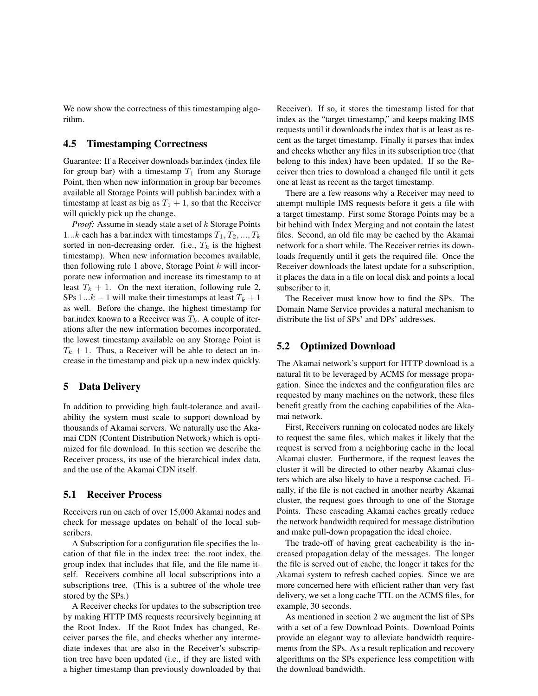We now show the correctness of this timestamping algorithm.

### **4.5 Timestamping Correctness**

Guarantee: If a Receiver downloads bar.index (index file for group bar) with a timestamp  $T_1$  from any Storage Point, then when new information in group bar becomes available all Storage Points will publish bar.index with a timestamp at least as big as  $T_1 + 1$ , so that the Receiver will quickly pick up the change.

*Proof:* Assume in steady state a set of k Storage Points 1...k each has a bar.index with timestamps  $T_1, T_2, ..., T_k$ sorted in non-decreasing order. (i.e.,  $T_k$  is the highest timestamp). When new information becomes available, then following rule 1 above, Storage Point  $k$  will incorporate new information and increase its timestamp to at least  $T_k + 1$ . On the next iteration, following rule 2, SPs 1...k – 1 will make their timestamps at least  $T_k + 1$ as well. Before the change, the highest timestamp for bar.index known to a Receiver was  $T_k$ . A couple of iterations after the new information becomes incorporated, the lowest timestamp available on any Storage Point is  $T_k + 1$ . Thus, a Receiver will be able to detect an increase in the timestamp and pick up a new index quickly.

### **5 Data Delivery**

In addition to providing high fault-tolerance and availability the system must scale to support download by thousands of Akamai servers. We naturally use the Akamai CDN (Content Distribution Network) which is optimized for file download. In this section we describe the Receiver process, its use of the hierarchical index data, and the use of the Akamai CDN itself.

## **5.1 Receiver Process**

Receivers run on each of over 15,000 Akamai nodes and check for message updates on behalf of the local subscribers.

A Subscription for a configuration file specifies the location of that file in the index tree: the root index, the group index that includes that file, and the file name itself. Receivers combine all local subscriptions into a subscriptions tree. (This is a subtree of the whole tree stored by the SPs.)

A Receiver checks for updates to the subscription tree by making HTTP IMS requests recursively beginning at the Root Index. If the Root Index has changed, Receiver parses the file, and checks whether any intermediate indexes that are also in the Receiver's subscription tree have been updated (i.e., if they are listed with a higher timestamp than previously downloaded by that

Receiver). If so, it stores the timestamp listed for that index as the "target timestamp," and keeps making IMS requests until it downloads the index that is at least as recent as the target timestamp. Finally it parses that index and checks whether any files in its subscription tree (that belong to this index) have been updated. If so the Receiver then tries to download a changed file until it gets one at least as recent as the target timestamp.

There are a few reasons why a Receiver may need to attempt multiple IMS requests before it gets a file with a target timestamp. First some Storage Points may be a bit behind with Index Merging and not contain the latest files. Second, an old file may be cached by the Akamai network for a short while. The Receiver retries its downloads frequently until it gets the required file. Once the Receiver downloads the latest update for a subscription, it places the data in a file on local disk and points a local subscriber to it.

The Receiver must know how to find the SPs. The Domain Name Service provides a natural mechanism to distribute the list of SPs' and DPs' addresses.

### **5.2 Optimized Download**

The Akamai network's support for HTTP download is a natural fit to be leveraged by ACMS for message propagation. Since the indexes and the configuration files are requested by many machines on the network, these files benefit greatly from the caching capabilities of the Akamai network.

First, Receivers running on colocated nodes are likely to request the same files, which makes it likely that the request is served from a neighboring cache in the local Akamai cluster. Furthermore, if the request leaves the cluster it will be directed to other nearby Akamai clusters which are also likely to have a response cached. Finally, if the file is not cached in another nearby Akamai cluster, the request goes through to one of the Storage Points. These cascading Akamai caches greatly reduce the network bandwidth required for message distribution and make pull-down propagation the ideal choice.

The trade-off of having great cacheability is the increased propagation delay of the messages. The longer the file is served out of cache, the longer it takes for the Akamai system to refresh cached copies. Since we are more concerned here with efficient rather than very fast delivery, we set a long cache TTL on the ACMS files, for example, 30 seconds.

As mentioned in section 2 we augment the list of SPs with a set of a few Download Points. Download Points provide an elegant way to alleviate bandwidth requirements from the SPs. As a result replication and recovery algorithms on the SPs experience less competition with the download bandwidth.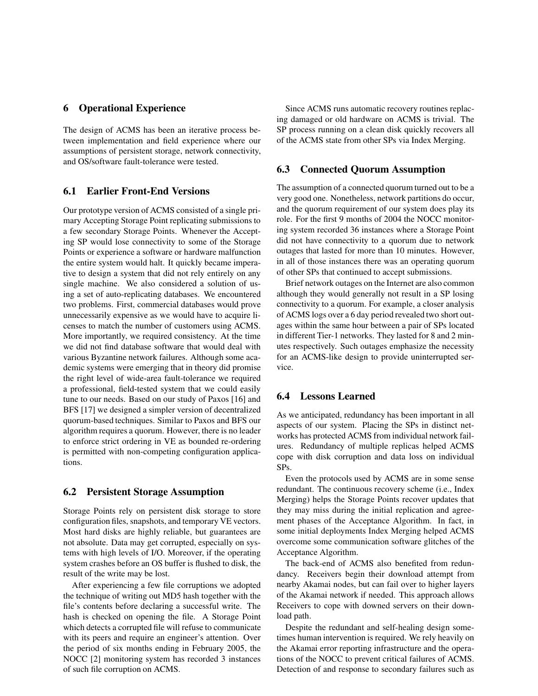#### **6 Operational Experience**

The design of ACMS has been an iterative process between implementation and field experience where our assumptions of persistent storage, network connectivity, and OS/software fault-tolerance were tested.

### **6.1 Earlier Front-End Versions**

Our prototype version of ACMS consisted of a single primary Accepting Storage Point replicating submissions to a few secondary Storage Points. Whenever the Accepting SP would lose connectivity to some of the Storage Points or experience a software or hardware malfunction the entire system would halt. It quickly became imperative to design a system that did not rely entirely on any single machine. We also considered a solution of using a set of auto-replicating databases. We encountered two problems. First, commercial databases would prove unnecessarily expensive as we would have to acquire licenses to match the number of customers using ACMS. More importantly, we required consistency. At the time we did not find database software that would deal with various Byzantine network failures. Although some academic systems were emerging that in theory did promise the right level of wide-area fault-tolerance we required a professional, field-tested system that we could easily tune to our needs. Based on our study of Paxos [16] and BFS [17] we designed a simpler version of decentralized quorum-based techniques. Similar to Paxos and BFS our algorithm requires a quorum. However, there is no leader to enforce strict ordering in VE as bounded re-ordering is permitted with non-competing configuration applications.

#### **6.2 Persistent Storage Assumption**

Storage Points rely on persistent disk storage to store configuration files, snapshots, and temporary VE vectors. Most hard disks are highly reliable, but guarantees are not absolute. Data may get corrupted, especially on systems with high levels of I/O. Moreover, if the operating system crashes before an OS buffer is flushed to disk, the result of the write may be lost.

After experiencing a few file corruptions we adopted the technique of writing out MD5 hash together with the file's contents before declaring a successful write. The hash is checked on opening the file. A Storage Point which detects a corrupted file will refuse to communicate with its peers and require an engineer's attention. Over the period of six months ending in February 2005, the NOCC [2] monitoring system has recorded 3 instances of such file corruption on ACMS.

Since ACMS runs automatic recovery routines replacing damaged or old hardware on ACMS is trivial. The SP process running on a clean disk quickly recovers all of the ACMS state from other SPs via Index Merging.

#### **6.3 Connected Quorum Assumption**

The assumption of a connected quorum turned out to be a very good one. Nonetheless, network partitions do occur, and the quorum requirement of our system does play its role. For the first 9 months of 2004 the NOCC monitoring system recorded 36 instances where a Storage Point did not have connectivity to a quorum due to network outages that lasted for more than 10 minutes. However, in all of those instances there was an operating quorum of other SPs that continued to accept submissions.

Brief network outages on the Internet are also common although they would generally not result in a SP losing connectivity to a quorum. For example, a closer analysis of ACMS logs over a 6 day period revealed two short outages within the same hour between a pair of SPs located in different Tier-1 networks. They lasted for 8 and 2 minutes respectively. Such outages emphasize the necessity for an ACMS-like design to provide uninterrupted service.

#### **6.4 Lessons Learned**

As we anticipated, redundancy has been important in all aspects of our system. Placing the SPs in distinct networks has protected ACMS from individual network failures. Redundancy of multiple replicas helped ACMS cope with disk corruption and data loss on individual SPs.

Even the protocols used by ACMS are in some sense redundant. The continuous recovery scheme (i.e., Index Merging) helps the Storage Points recover updates that they may miss during the initial replication and agreement phases of the Acceptance Algorithm. In fact, in some initial deployments Index Merging helped ACMS overcome some communication software glitches of the Acceptance Algorithm.

The back-end of ACMS also benefited from redundancy. Receivers begin their download attempt from nearby Akamai nodes, but can fail over to higher layers of the Akamai network if needed. This approach allows Receivers to cope with downed servers on their download path.

Despite the redundant and self-healing design sometimes human intervention is required. We rely heavily on the Akamai error reporting infrastructure and the operations of the NOCC to prevent critical failures of ACMS. Detection of and response to secondary failures such as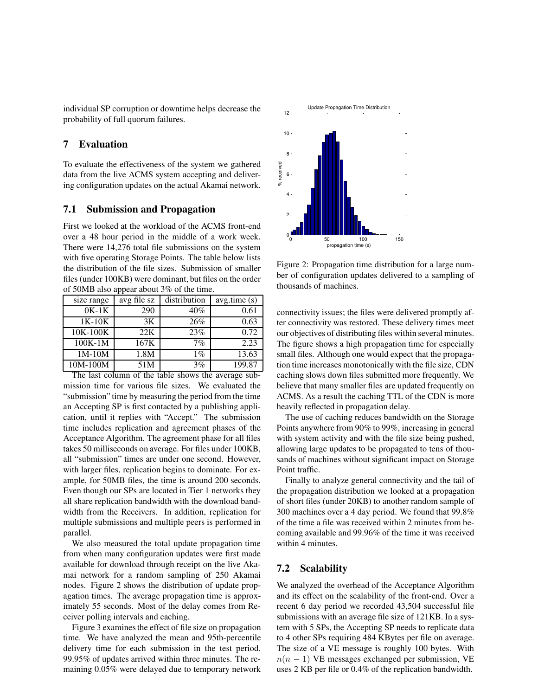individual SP corruption or downtime helps decrease the probability of full quorum failures.

## **7 Evaluation**

To evaluate the effectiveness of the system we gathered data from the live ACMS system accepting and delivering configuration updates on the actual Akamai network.

#### **7.1 Submission and Propagation**

First we looked at the workload of the ACMS front-end over a 48 hour period in the middle of a work week. There were 14,276 total file submissions on the system with five operating Storage Points. The table below lists the distribution of the file sizes. Submission of smaller files (under 100KB) were dominant, but files on the order of 50MB also appear about 3% of the time.

| size range                  | avg file sz              | distribution | avg.time(s) |
|-----------------------------|--------------------------|--------------|-------------|
| $0K-1K$                     | 290                      | $40\%$       | 0.61        |
| $1K-10K$                    | 3K                       | 26%          | 0.63        |
| 10K-100K                    | 22K                      | 23%          | 0.72        |
| $100K-1M$                   | 167K                     | 7%           | 2.23        |
| $1M-10M$                    | 1.8M                     | $1\%$        | 13.63       |
| 10M-100M<br>TT1.1.1.1.1.1.1 | 51M<br>$0.41 \pm 0.11$ . | 3%           | 199.87      |

The last column of the table shows the average submission time for various file sizes. We evaluated the "submission" time by measuring the period from the time an Accepting SP is first contacted by a publishing application, until it replies with "Accept." The submission time includes replication and agreement phases of the Acceptance Algorithm. The agreement phase for all files takes 50 milliseconds on average. For files under 100KB, all "submission" times are under one second. However, with larger files, replication begins to dominate. For example, for 50MB files, the time is around 200 seconds. Even though our SPs are located in Tier 1 networks they all share replication bandwidth with the download bandwidth from the Receivers. In addition, replication for multiple submissions and multiple peers is performed in parallel.

We also measured the total update propagation time from when many configuration updates were first made available for download through receipt on the live Akamai network for a random sampling of 250 Akamai nodes. Figure 2 shows the distribution of update propagation times. The average propagation time is approximately 55 seconds. Most of the delay comes from Receiver polling intervals and caching.

Figure 3 examines the effect of file size on propagation time. We have analyzed the mean and 95th-percentile delivery time for each submission in the test period. 99.95% of updates arrived within three minutes. The remaining 0.05% were delayed due to temporary network



Figure 2: Propagation time distribution for a large number of configuration updates delivered to a sampling of thousands of machines.

connectivity issues; the files were delivered promptly after connectivity was restored. These delivery times meet our objectives of distributing files within several minutes. The figure shows a high propagation time for especially small files. Although one would expect that the propagation time increases monotonically with the file size, CDN caching slows down files submitted more frequently. We believe that many smaller files are updated frequently on ACMS. As a result the caching TTL of the CDN is more heavily reflected in propagation delay.

The use of caching reduces bandwidth on the Storage Points anywhere from 90% to 99%, increasing in general with system activity and with the file size being pushed, allowing large updates to be propagated to tens of thousands of machines without significant impact on Storage Point traffic.

Finally to analyze general connectivity and the tail of the propagation distribution we looked at a propagation of short files (under 20KB) to another random sample of 300 machines over a 4 day period. We found that 99.8% of the time a file was received within 2 minutes from becoming available and 99.96% of the time it was received within 4 minutes.

## **7.2 Scalability**

We analyzed the overhead of the Acceptance Algorithm and its effect on the scalability of the front-end. Over a recent 6 day period we recorded 43,504 successful file submissions with an average file size of 121KB. In a system with 5 SPs, the Accepting SP needs to replicate data to 4 other SPs requiring 484 KBytes per file on average. The size of a VE message is roughly 100 bytes. With  $n(n - 1)$  VE messages exchanged per submission, VE uses 2 KB per file or 0.4% of the replication bandwidth.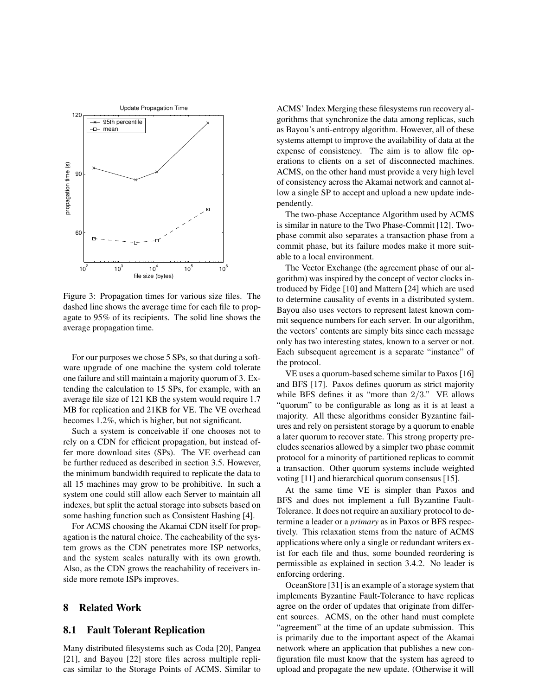

Figure 3: Propagation times for various size files. The dashed line shows the average time for each file to propagate to 95% of its recipients. The solid line shows the average propagation time.

For our purposes we chose 5 SPs, so that during a software upgrade of one machine the system cold tolerate one failure and still maintain a majority quorum of 3. Extending the calculation to 15 SPs, for example, with an average file size of 121 KB the system would require 1.7 MB for replication and 21KB for VE. The VE overhead becomes 1.2%, which is higher, but not significant.

Such a system is conceivable if one chooses not to rely on a CDN for efficient propagation, but instead offer more download sites (SPs). The VE overhead can be further reduced as described in section 3.5. However, the minimum bandwidth required to replicate the data to all 15 machines may grow to be prohibitive. In such a system one could still allow each Server to maintain all indexes, but split the actual storage into subsets based on some hashing function such as Consistent Hashing [4].

For ACMS choosing the Akamai CDN itself for propagation is the natural choice. The cacheability of the system grows as the CDN penetrates more ISP networks, and the system scales naturally with its own growth. Also, as the CDN grows the reachability of receivers inside more remote ISPs improves.

#### **8 Related Work**

#### **8.1 Fault Tolerant Replication**

Many distributed filesystems such as Coda [20], Pangea [21], and Bayou [22] store files across multiple replicas similar to the Storage Points of ACMS. Similar to ACMS' Index Merging these filesystems run recovery algorithms that synchronize the data among replicas, such as Bayou's anti-entropy algorithm. However, all of these systems attempt to improve the availability of data at the expense of consistency. The aim is to allow file operations to clients on a set of disconnected machines. ACMS, on the other hand must provide a very high level of consistency across the Akamai network and cannot allow a single SP to accept and upload a new update independently.

The two-phase Acceptance Algorithm used by ACMS is similar in nature to the Two Phase-Commit [12]. Twophase commit also separates a transaction phase from a commit phase, but its failure modes make it more suitable to a local environment.

The Vector Exchange (the agreement phase of our algorithm) was inspired by the concept of vector clocks introduced by Fidge [10] and Mattern [24] which are used to determine causality of events in a distributed system. Bayou also uses vectors to represent latest known commit sequence numbers for each server. In our algorithm, the vectors' contents are simply bits since each message only has two interesting states, known to a server or not. Each subsequent agreement is a separate "instance" of the protocol.

VE uses a quorum-based scheme similar to Paxos [16] and BFS [17]. Paxos defines quorum as strict majority while BFS defines it as "more than  $2/3$ ." VE allows "quorum" to be configurable as long as it is at least a majority. All these algorithms consider Byzantine failures and rely on persistent storage by a quorum to enable a later quorum to recover state. This strong property precludes scenarios allowed by a simpler two phase commit protocol for a minority of partitioned replicas to commit a transaction. Other quorum systems include weighted voting [11] and hierarchical quorum consensus [15].

At the same time VE is simpler than Paxos and BFS and does not implement a full Byzantine Fault-Tolerance. It does not require an auxiliary protocol to determine a leader or a *primary* as in Paxos or BFS respectively. This relaxation stems from the nature of ACMS applications where only a single or redundant writers exist for each file and thus, some bounded reordering is permissible as explained in section 3.4.2. No leader is enforcing ordering.

OceanStore [31] is an example of a storage system that implements Byzantine Fault-Tolerance to have replicas agree on the order of updates that originate from different sources. ACMS, on the other hand must complete "agreement" at the time of an update submission. This is primarily due to the important aspect of the Akamai network where an application that publishes a new configuration file must know that the system has agreed to upload and propagate the new update. (Otherwise it will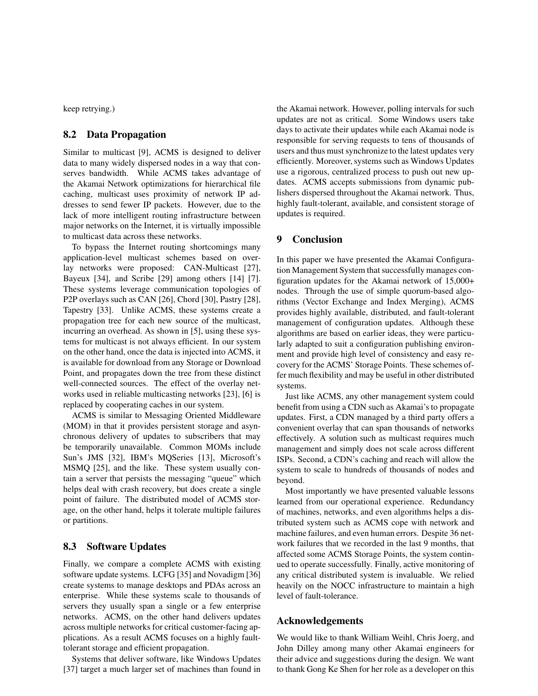keep retrying.)

## **8.2 Data Propagation**

Similar to multicast [9], ACMS is designed to deliver data to many widely dispersed nodes in a way that conserves bandwidth. While ACMS takes advantage of the Akamai Network optimizations for hierarchical file caching, multicast uses proximity of network IP addresses to send fewer IP packets. However, due to the lack of more intelligent routing infrastructure between major networks on the Internet, it is virtually impossible to multicast data across these networks.

To bypass the Internet routing shortcomings many application-level multicast schemes based on overlay networks were proposed: CAN-Multicast [27], Bayeux [34], and Scribe [29] among others [14] [7]. These systems leverage communication topologies of P2P overlays such as CAN [26], Chord [30], Pastry [28], Tapestry [33]. Unlike ACMS, these systems create a propagation tree for each new source of the multicast, incurring an overhead. As shown in [5], using these systems for multicast is not always efficient. In our system on the other hand, once the data is injected into ACMS, it is available for download from any Storage or Download Point, and propagates down the tree from these distinct well-connected sources. The effect of the overlay networks used in reliable multicasting networks [23], [6] is replaced by cooperating caches in our system.

ACMS is similar to Messaging Oriented Middleware (MOM) in that it provides persistent storage and asynchronous delivery of updates to subscribers that may be temporarily unavailable. Common MOMs include Sun's JMS [32], IBM's MQSeries [13], Microsoft's MSMQ [25], and the like. These system usually contain a server that persists the messaging "queue" which helps deal with crash recovery, but does create a single point of failure. The distributed model of ACMS storage, on the other hand, helps it tolerate multiple failures or partitions.

## **8.3 Software Updates**

Finally, we compare a complete ACMS with existing software update systems. LCFG [35] and Novadigm [36] create systems to manage desktops and PDAs across an enterprise. While these systems scale to thousands of servers they usually span a single or a few enterprise networks. ACMS, on the other hand delivers updates across multiple networks for critical customer-facing applications. As a result ACMS focuses on a highly faulttolerant storage and efficient propagation.

Systems that deliver software, like Windows Updates [37] target a much larger set of machines than found in the Akamai network. However, polling intervals for such updates are not as critical. Some Windows users take days to activate their updates while each Akamai node is responsible for serving requests to tens of thousands of users and thus must synchronize to the latest updates very efficiently. Moreover, systems such as Windows Updates use a rigorous, centralized process to push out new updates. ACMS accepts submissions from dynamic publishers dispersed throughout the Akamai network. Thus, highly fault-tolerant, available, and consistent storage of updates is required.

### **9 Conclusion**

In this paper we have presented the Akamai Configuration Management System that successfully manages configuration updates for the Akamai network of 15,000+ nodes. Through the use of simple quorum-based algorithms (Vector Exchange and Index Merging), ACMS provides highly available, distributed, and fault-tolerant management of configuration updates. Although these algorithms are based on earlier ideas, they were particularly adapted to suit a configuration publishing environment and provide high level of consistency and easy recovery for the ACMS' Storage Points. These schemes offer much flexibility and may be useful in other distributed systems.

Just like ACMS, any other management system could benefit from using a CDN such as Akamai's to propagate updates. First, a CDN managed by a third party offers a convenient overlay that can span thousands of networks effectively. A solution such as multicast requires much management and simply does not scale across different ISPs. Second, a CDN's caching and reach will allow the system to scale to hundreds of thousands of nodes and beyond.

Most importantly we have presented valuable lessons learned from our operational experience. Redundancy of machines, networks, and even algorithms helps a distributed system such as ACMS cope with network and machine failures, and even human errors. Despite 36 network failures that we recorded in the last 9 months, that affected some ACMS Storage Points, the system continued to operate successfully. Finally, active monitoring of any critical distributed system is invaluable. We relied heavily on the NOCC infrastructure to maintain a high level of fault-tolerance.

## **Acknowledgements**

We would like to thank William Weihl, Chris Joerg, and John Dilley among many other Akamai engineers for their advice and suggestions during the design. We want to thank Gong Ke Shen for her role as a developer on this